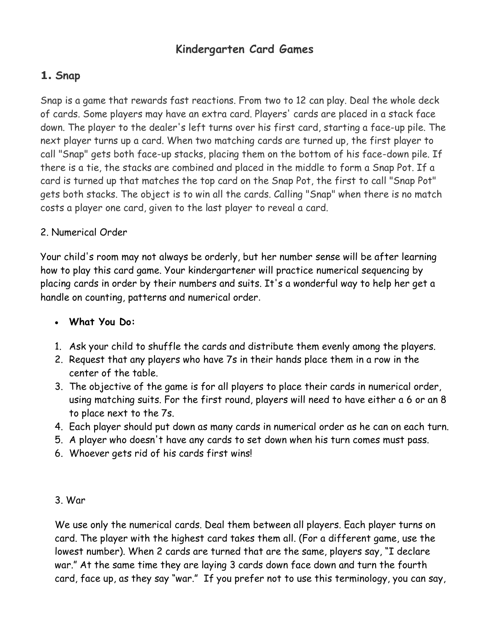# **Kindergarten Card Games**

# **1. Snap**

Snap is a game that rewards fast reactions. From two to 12 can play. Deal the whole deck of cards. Some players may have an extra card. Players' cards are placed in a stack face down. The player to the dealer's left turns over his first card, starting a face-up pile. The next player turns up a card. When two matching cards are turned up, the first player to call "Snap" gets both face-up stacks, placing them on the bottom of his face-down pile. If there is a tie, the stacks are combined and placed in the middle to form a Snap Pot. If a card is turned up that matches the top card on the Snap Pot, the first to call "Snap Pot" gets both stacks. The object is to win all the cards. Calling "Snap" when there is no match costs a player one card, given to the last player to reveal a card.

### 2. Numerical Order

Your child's room may not always be orderly, but her number sense will be after learning how to play this card game. Your kindergartener will practice numerical sequencing by placing cards in order by their numbers and suits. It's a wonderful way to help her get a handle on counting, patterns and numerical order.

# **What You Do:**

- 1. Ask your child to shuffle the cards and distribute them evenly among the players.
- 2. Request that any players who have 7s in their hands place them in a row in the center of the table.
- 3. The objective of the game is for all players to place their cards in numerical order, using matching suits. For the first round, players will need to have either a 6 or an 8 to place next to the 7s.
- 4. Each player should put down as many cards in numerical order as he can on each turn.
- 5. A player who doesn't have any cards to set down when his turn comes must pass.
- 6. Whoever gets rid of his cards first wins!
- 3. War

We use only the numerical cards. Deal them between all players. Each player turns on card. The player with the highest card takes them all. (For a different game, use the lowest number). When 2 cards are turned that are the same, players say, "I declare war." At the same time they are laying 3 cards down face down and turn the fourth card, face up, as they say "war." If you prefer not to use this terminology, you can say,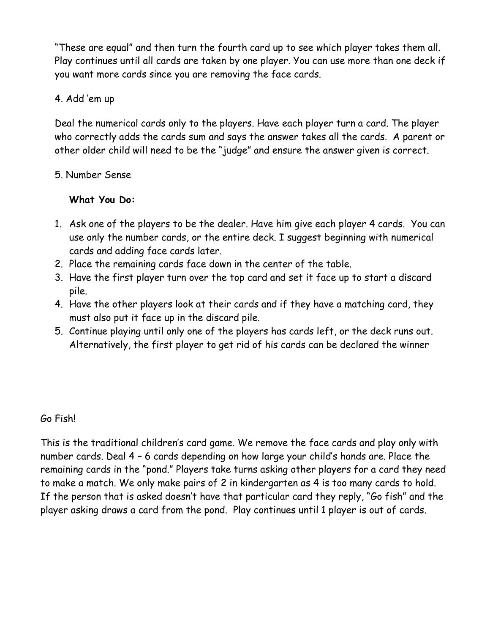"These are equal" and then turn the fourth card up to see which player takes them all. Play continues until all cards are taken by one player. You can use more than one deck if you want more cards since you are removing the face cards.

### 4. Add 'em up

Deal the numerical cards only to the players. Have each player turn a card. The player who correctly adds the cards sum and says the answer takes all the cards. A parent or other older child will need to be the "judge" and ensure the answer given is correct.

### 5. Number Sense

### **What You Do:**

- 1. Ask one of the players to be the dealer. Have him give each player 4 cards. You can use only the number cards, or the entire deck. I suggest beginning with numerical cards and adding face cards later.
- 2. Place the remaining cards face down in the center of the table.
- 3. Have the first player turn over the top card and set it face up to start a discard pile.
- 4. Have the other players look at their cards and if they have a matching card, they must also put it face up in the discard pile.
- 5. Continue playing until only one of the players has cards left, or the deck runs out. Alternatively, the first player to get rid of his cards can be declared the winner

# Go Fish!

This is the traditional children's card game. We remove the face cards and play only with number cards. Deal 4 – 6 cards depending on how large your child's hands are. Place the remaining cards in the "pond." Players take turns asking other players for a card they need to make a match. We only make pairs of 2 in kindergarten as 4 is too many cards to hold. If the person that is asked doesn't have that particular card they reply, "Go fish" and the player asking draws a card from the pond. Play continues until 1 player is out of cards.